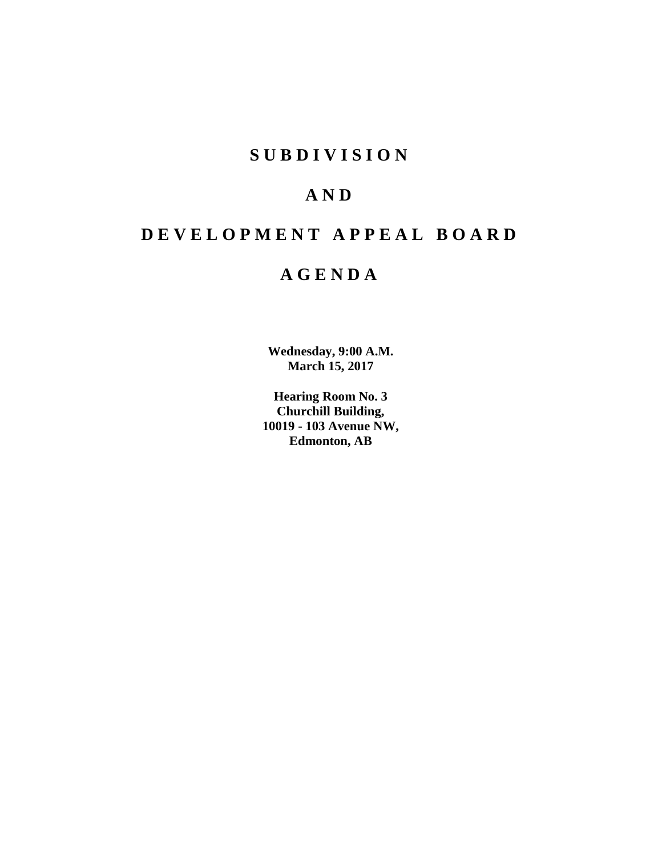# **SUBDIVISION**

# **AND**

# **DEVELOPMENT APPEAL BOARD**

# **AGENDA**

**Wednesday, 9:00 A.M. March 15, 2017**

**Hearing Room No. 3 Churchill Building, 10019 - 103 Avenue NW, Edmonton, AB**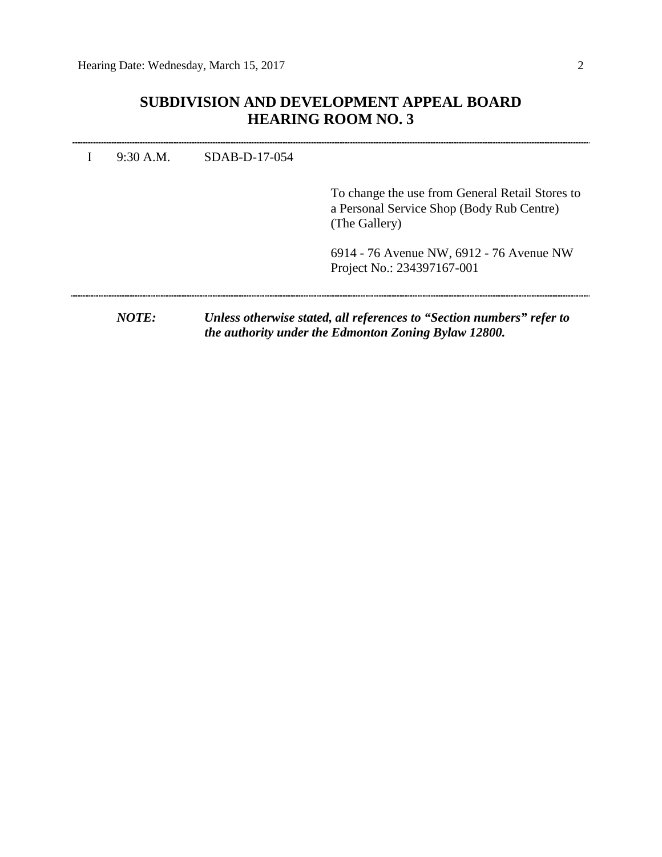# **SUBDIVISION AND DEVELOPMENT APPEAL BOARD HEARING ROOM NO. 3**

| NOTE:       |               | Unless otherwise stated, all references to "Section numbers" refer to                                         |
|-------------|---------------|---------------------------------------------------------------------------------------------------------------|
|             |               | 6914 - 76 Avenue NW, 6912 - 76 Avenue NW<br>Project No.: 234397167-001                                        |
|             |               | To change the use from General Retail Stores to<br>a Personal Service Shop (Body Rub Centre)<br>(The Gallery) |
| $9:30$ A.M. | SDAB-D-17-054 |                                                                                                               |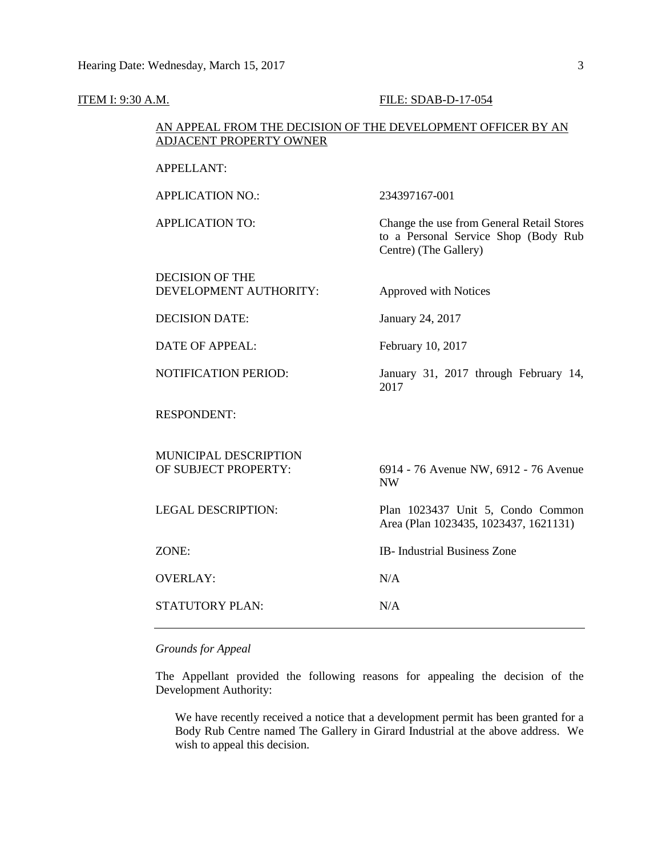| <b>ITEM I: 9:30 A.M.</b> |                                                                                                | FILE: SDAB-D-17-054                                                                                        |  |  |  |  |  |
|--------------------------|------------------------------------------------------------------------------------------------|------------------------------------------------------------------------------------------------------------|--|--|--|--|--|
|                          | AN APPEAL FROM THE DECISION OF THE DEVELOPMENT OFFICER BY AN<br><b>ADJACENT PROPERTY OWNER</b> |                                                                                                            |  |  |  |  |  |
|                          | <b>APPELLANT:</b>                                                                              |                                                                                                            |  |  |  |  |  |
|                          | <b>APPLICATION NO.:</b>                                                                        | 234397167-001                                                                                              |  |  |  |  |  |
|                          | <b>APPLICATION TO:</b>                                                                         | Change the use from General Retail Stores<br>to a Personal Service Shop (Body Rub<br>Centre) (The Gallery) |  |  |  |  |  |
|                          | <b>DECISION OF THE</b><br>DEVELOPMENT AUTHORITY:                                               | Approved with Notices                                                                                      |  |  |  |  |  |
|                          | <b>DECISION DATE:</b>                                                                          | January 24, 2017                                                                                           |  |  |  |  |  |
|                          | <b>DATE OF APPEAL:</b>                                                                         | February 10, 2017                                                                                          |  |  |  |  |  |
|                          | NOTIFICATION PERIOD:                                                                           | January 31, 2017 through February 14,<br>2017                                                              |  |  |  |  |  |
|                          | <b>RESPONDENT:</b>                                                                             |                                                                                                            |  |  |  |  |  |
|                          | MUNICIPAL DESCRIPTION<br>OF SUBJECT PROPERTY:                                                  | 6914 - 76 Avenue NW, 6912 - 76 Avenue<br><b>NW</b>                                                         |  |  |  |  |  |
|                          | <b>LEGAL DESCRIPTION:</b>                                                                      | Plan 1023437 Unit 5, Condo Common<br>Area (Plan 1023435, 1023437, 1621131)                                 |  |  |  |  |  |
|                          | ZONE:                                                                                          | IB- Industrial Business Zone                                                                               |  |  |  |  |  |
|                          | <b>OVERLAY:</b>                                                                                | N/A                                                                                                        |  |  |  |  |  |
|                          | STATUTORY PLAN:                                                                                | N/A                                                                                                        |  |  |  |  |  |

# *Grounds for Appeal*

The Appellant provided the following reasons for appealing the decision of the Development Authority:

We have recently received a notice that a development permit has been granted for a Body Rub Centre named The Gallery in Girard Industrial at the above address. We wish to appeal this decision.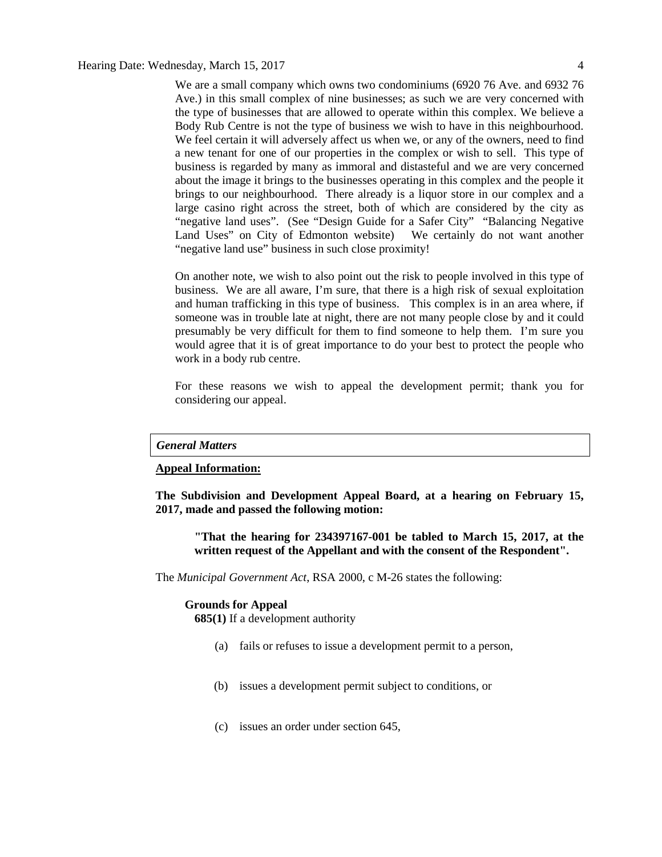We are a small company which owns two condominiums (6920 76 Ave. and 6932 76 Ave.) in this small complex of nine businesses; as such we are very concerned with the type of businesses that are allowed to operate within this complex. We believe a Body Rub Centre is not the type of business we wish to have in this neighbourhood. We feel certain it will adversely affect us when we, or any of the owners, need to find a new tenant for one of our properties in the complex or wish to sell. This type of business is regarded by many as immoral and distasteful and we are very concerned about the image it brings to the businesses operating in this complex and the people it brings to our neighbourhood. There already is a liquor store in our complex and a large casino right across the street, both of which are considered by the city as "negative land uses". (See "Design Guide for a Safer City" "Balancing Negative Land Uses" on City of Edmonton website) We certainly do not want another "negative land use" business in such close proximity!

On another note, we wish to also point out the risk to people involved in this type of business. We are all aware, I'm sure, that there is a high risk of sexual exploitation and human trafficking in this type of business. This complex is in an area where, if someone was in trouble late at night, there are not many people close by and it could presumably be very difficult for them to find someone to help them. I'm sure you would agree that it is of great importance to do your best to protect the people who work in a body rub centre.

For these reasons we wish to appeal the development permit; thank you for considering our appeal.

### *General Matters*

### **Appeal Information:**

**The Subdivision and Development Appeal Board, at a hearing on February 15, 2017, made and passed the following motion:**

**"That the hearing for 234397167-001 be tabled to March 15, 2017, at the written request of the Appellant and with the consent of the Respondent".**

The *Municipal Government Act*, RSA 2000, c M-26 states the following:

#### **Grounds for Appeal**

**685(1)** If a development authority

- (a) fails or refuses to issue a development permit to a person,
- (b) issues a development permit subject to conditions, or
- (c) issues an order under section 645,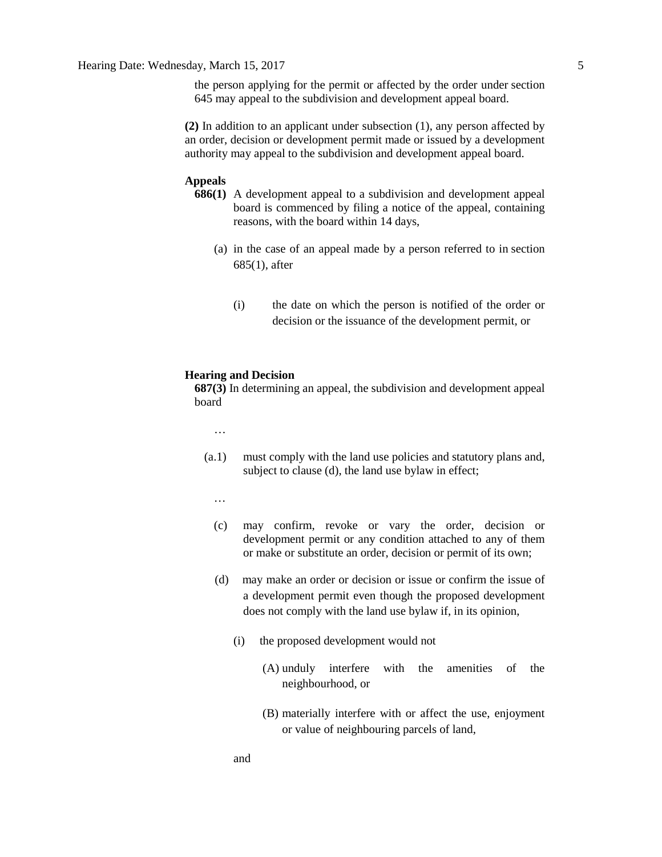the person applying for the permit or affected by the order under section 645 may appeal to the subdivision and development appeal board.

**(2)** In addition to an applicant under subsection (1), any person affected by an order, decision or development permit made or issued by a development authority may appeal to the subdivision and development appeal board.

### **Appeals**

- **686(1)** A development appeal to a subdivision and development appeal board is commenced by filing a notice of the appeal, containing reasons, with the board within 14 days,
	- (a) in the case of an appeal made by a person referred to in section 685(1), after
		- (i) the date on which the person is notified of the order or decision or the issuance of the development permit, or

## **Hearing and Decision**

**687(3)** In determining an appeal, the subdivision and development appeal board

- …
- (a.1) must comply with the land use policies and statutory plans and, subject to clause (d), the land use bylaw in effect;
	- …
	- (c) may confirm, revoke or vary the order, decision or development permit or any condition attached to any of them or make or substitute an order, decision or permit of its own;
	- (d) may make an order or decision or issue or confirm the issue of a development permit even though the proposed development does not comply with the land use bylaw if, in its opinion,
		- (i) the proposed development would not
			- (A) unduly interfere with the amenities of the neighbourhood, or
			- (B) materially interfere with or affect the use, enjoyment or value of neighbouring parcels of land,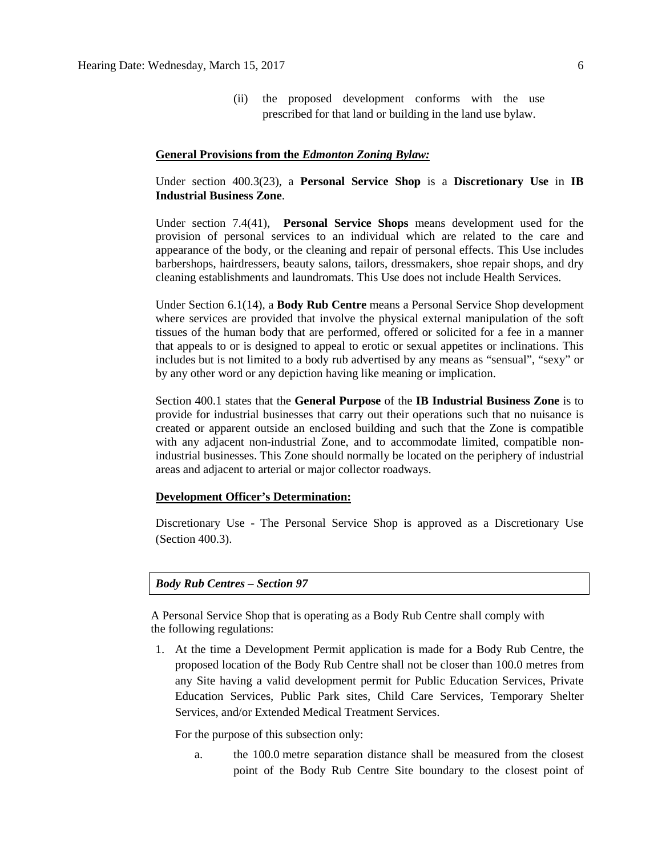(ii) the proposed development conforms with the use prescribed for that land or building in the land use bylaw.

### **General Provisions from the** *Edmonton Zoning Bylaw:*

Under section 400.3(23), a **Personal Service Shop** is a **Discretionary Use** in **IB Industrial Business Zone**.

Under section 7.4(41), **Personal Service Shops** means development used for the provision of personal services to an individual which are related to the care and appearance of the body, or the cleaning and repair of personal effects. This Use includes barbershops, hairdressers, beauty salons, tailors, dressmakers, shoe repair shops, and dry cleaning establishments and laundromats. This Use does not include Health Services.

Under Section 6.1(14), a **Body Rub Centre** means a Personal Service Shop development where services are provided that involve the physical external manipulation of the soft tissues of the human body that are performed, offered or solicited for a fee in a manner that appeals to or is designed to appeal to erotic or sexual appetites or inclinations. This includes but is not limited to a body rub advertised by any means as "sensual", "sexy" or by any other word or any depiction having like meaning or implication.

Section 400.1 states that the **General Purpose** of the **IB Industrial Business Zone** is to provide for industrial businesses that carry out their operations such that no nuisance is created or apparent outside an enclosed building and such that the Zone is compatible with any adjacent non-industrial Zone, and to accommodate limited, compatible nonindustrial businesses. This Zone should normally be located on the periphery of industrial areas and adjacent to arterial or major collector roadways.

### **Development Officer's Determination:**

Discretionary Use - The Personal Service Shop is approved as a Discretionary Use (Section 400.3).

# *Body Rub Centres – Section 97*

A Personal Service Shop that is operating as a Body Rub Centre shall comply with the following regulations:

1. At the time a Development Permit application is made for a Body Rub Centre, the proposed location of the Body Rub Centre shall not be closer than 100.0 metres from any Site having a valid development permit for Public Education Services, Private Education Services, Public Park sites, Child Care Services, Temporary Shelter Services, and/or Extended Medical Treatment Services.

For the purpose of this subsection only:

a. the 100.0 metre separation distance shall be measured from the closest point of the Body Rub Centre Site boundary to the closest point of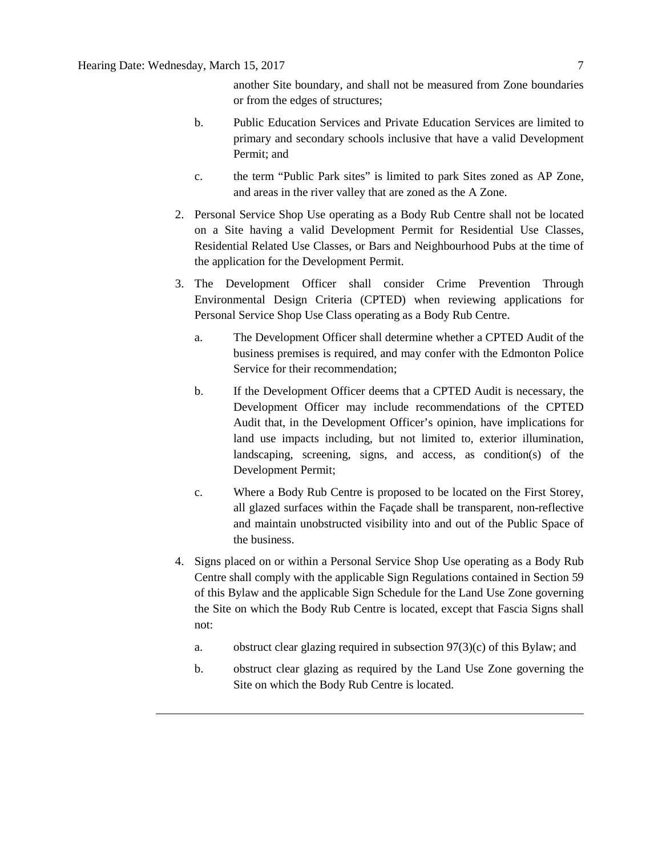another Site boundary, and shall not be measured from Zone boundaries or from the edges of structures;

- b. Public Education Services and Private Education Services are limited to primary and secondary schools inclusive that have a valid Development Permit; and
- c. the term "Public Park sites" is limited to park Sites zoned as AP Zone, and areas in the river valley that are zoned as the A Zone.
- 2. Personal Service Shop Use operating as a Body Rub Centre shall not be located on a Site having a valid Development Permit for Residential Use Classes, Residential Related Use Classes, or Bars and Neighbourhood Pubs at the time of the application for the Development Permit.
- 3. The Development Officer shall consider Crime Prevention Through Environmental Design Criteria (CPTED) when reviewing applications for Personal Service Shop Use Class operating as a Body Rub Centre.
	- a. The Development Officer shall determine whether a CPTED Audit of the business premises is required, and may confer with the Edmonton Police Service for their recommendation;
	- b. If the Development Officer deems that a CPTED Audit is necessary, the Development Officer may include recommendations of the CPTED Audit that, in the Development Officer's opinion, have implications for land use impacts including, but not limited to, exterior illumination, landscaping, screening, signs, and access, as condition(s) of the Development Permit;
	- c. Where a Body Rub Centre is proposed to be located on the First Storey, all glazed surfaces within the Façade shall be transparent, non-reflective and maintain unobstructed visibility into and out of the Public Space of the business.
- 4. Signs placed on or within a Personal Service Shop Use operating as a Body Rub Centre shall comply with the applicable Sign Regulations contained in Section 59 of this Bylaw and the applicable Sign Schedule for the Land Use Zone governing the Site on which the Body Rub Centre is located, except that Fascia Signs shall not:
	- a. obstruct clear glazing required in subsection 97(3)(c) of this Bylaw; and
	- b. obstruct clear glazing as required by the Land Use Zone governing the Site on which the Body Rub Centre is located.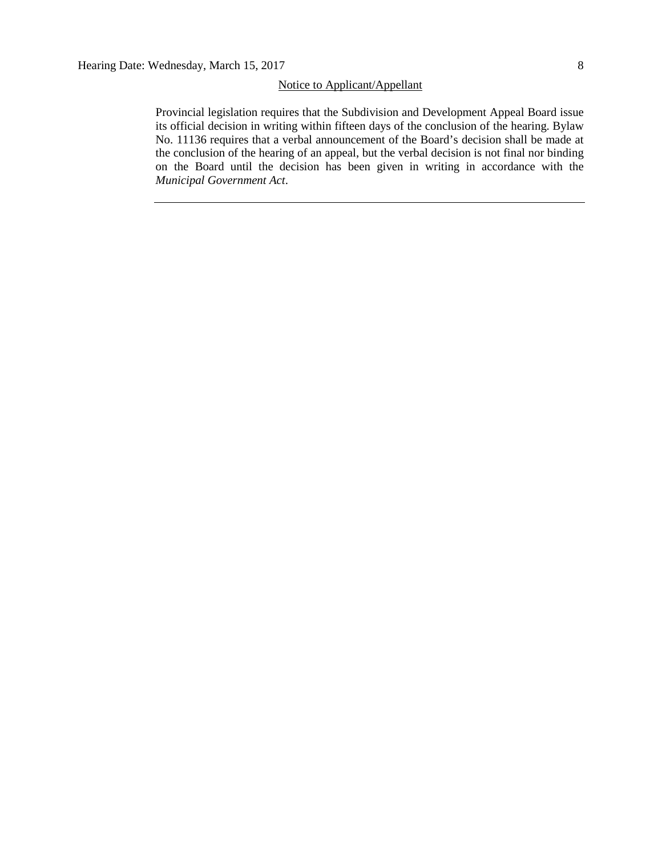# Notice to Applicant/Appellant

Provincial legislation requires that the Subdivision and Development Appeal Board issue its official decision in writing within fifteen days of the conclusion of the hearing. Bylaw No. 11136 requires that a verbal announcement of the Board's decision shall be made at the conclusion of the hearing of an appeal, but the verbal decision is not final nor binding on the Board until the decision has been given in writing in accordance with the *Municipal Government Act*.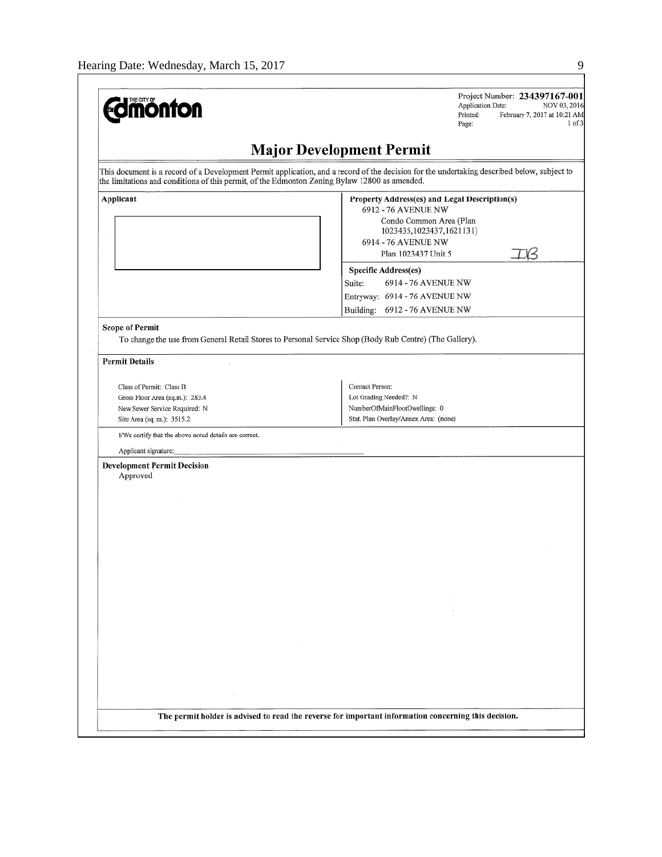| <b>Edmonton</b>                                                                                                                 | Project Number: 234397167-001<br>Application Date:<br>NOV 03, 2016<br>Printed:<br>February 7, 2017 at 10:21 AM<br>1 of 3<br>Page:           |
|---------------------------------------------------------------------------------------------------------------------------------|---------------------------------------------------------------------------------------------------------------------------------------------|
|                                                                                                                                 | <b>Major Development Permit</b>                                                                                                             |
| the limitations and conditions of this permit, of the Edmonton Zoning Bylaw 12800 as amended.                                   | This document is a record of a Development Permit application, and a record of the decision for the undertaking described below, subject to |
| Applicant                                                                                                                       | Property Address(es) and Legal Description(s)<br>6912 - 76 AVENUE NW<br>Condo Common Area (Plan<br>1023435,1023437,1621131)                 |
|                                                                                                                                 | 6914 - 76 AVENUE NW<br>Plan 1023437 Unit 5                                                                                                  |
|                                                                                                                                 | <b>Specific Address(es)</b><br>6914 - 76 AVENUE NW<br>Suite:<br>Entryway: 6914 - 76 AVENUE NW                                               |
|                                                                                                                                 | Building: 6912 - 76 AVENUE NW                                                                                                               |
| To change the use from General Retail Stores to Personal Service Shop (Body Rub Centre) (The Gallery).<br><b>Permit Details</b> |                                                                                                                                             |
| Class of Permit: Class B                                                                                                        | Contact Person:                                                                                                                             |
| Gross Floor Area (sq.m.): 283.4                                                                                                 | Lot Grading Needed?: N                                                                                                                      |
| New Sewer Service Required: N                                                                                                   | NumberOfMainFloorDwellings: 0                                                                                                               |
| Site Area (sq. m.): 3515.2                                                                                                      | Stat. Plan Overlay/Annex Area: (none)                                                                                                       |
| I/We certify that the above noted details are correct.                                                                          |                                                                                                                                             |
| Applicant signature:<br><b>Development Permit Decision</b>                                                                      |                                                                                                                                             |
| Approved                                                                                                                        |                                                                                                                                             |
|                                                                                                                                 |                                                                                                                                             |
|                                                                                                                                 |                                                                                                                                             |
|                                                                                                                                 |                                                                                                                                             |
|                                                                                                                                 |                                                                                                                                             |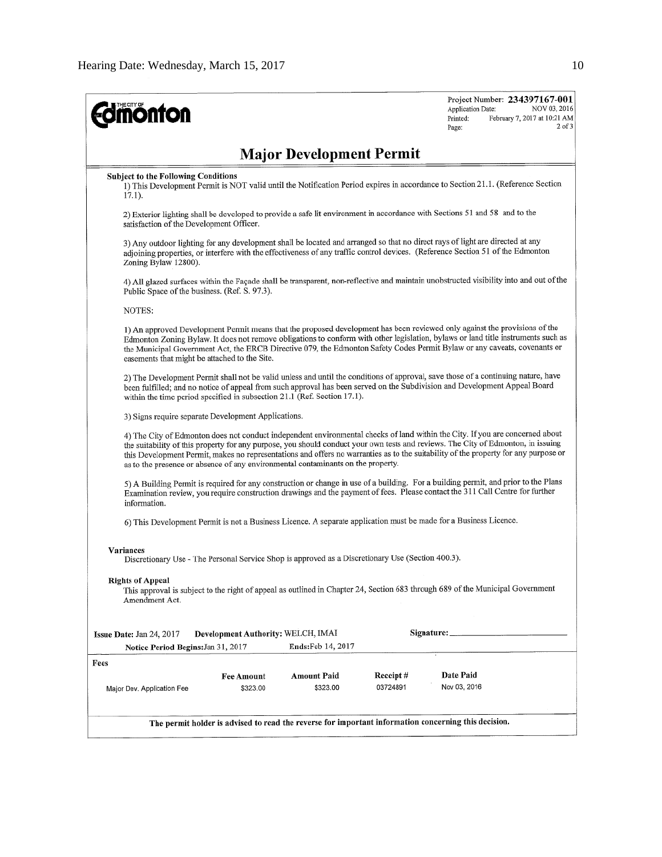| <b>monton</b>                                                                                                                                                                                                                                                                                                                                                                                                                                                                                 |                                                     |                                    |                      | Project Number: 234397167-001<br>Application Date:<br>February 7, 2017 at 10:21 AM<br>Printed:<br>Page: | NOV 03, 2016<br>$2$ of $3$ |  |
|-----------------------------------------------------------------------------------------------------------------------------------------------------------------------------------------------------------------------------------------------------------------------------------------------------------------------------------------------------------------------------------------------------------------------------------------------------------------------------------------------|-----------------------------------------------------|------------------------------------|----------------------|---------------------------------------------------------------------------------------------------------|----------------------------|--|
|                                                                                                                                                                                                                                                                                                                                                                                                                                                                                               |                                                     | <b>Major Development Permit</b>    |                      |                                                                                                         |                            |  |
| <b>Subject to the Following Conditions</b><br>1) This Development Permit is NOT valid until the Notification Period expires in accordance to Section 21.1. (Reference Section<br>$17.1$ ).                                                                                                                                                                                                                                                                                                    |                                                     |                                    |                      |                                                                                                         |                            |  |
| 2) Exterior lighting shall be developed to provide a safe lit environment in accordance with Sections 51 and 58 and to the<br>satisfaction of the Development Officer.                                                                                                                                                                                                                                                                                                                        |                                                     |                                    |                      |                                                                                                         |                            |  |
| 3) Any outdoor lighting for any development shall be located and arranged so that no direct rays of light are directed at any<br>adjoining properties, or interfere with the effectiveness of any traffic control devices. (Reference Section 51 of the Edmonton<br>Zoning Bylaw 12800).                                                                                                                                                                                                      |                                                     |                                    |                      |                                                                                                         |                            |  |
| 4) All glazed surfaces within the Façade shall be transparent, non-reflective and maintain unobstructed visibility into and out of the<br>Public Space of the business. (Ref. S. 97.3).                                                                                                                                                                                                                                                                                                       |                                                     |                                    |                      |                                                                                                         |                            |  |
| NOTES:                                                                                                                                                                                                                                                                                                                                                                                                                                                                                        |                                                     |                                    |                      |                                                                                                         |                            |  |
| 1) An approved Development Permit means that the proposed development has been reviewed only against the provisions of the<br>Edmonton Zoning Bylaw. It does not remove obligations to conform with other legislation, bylaws or land title instruments such as<br>the Municipal Government Act, the ERCB Directive 079, the Edmonton Safety Codes Permit Bylaw or any caveats, covenants or<br>easements that might be attached to the Site.                                                 |                                                     |                                    |                      |                                                                                                         |                            |  |
| 2) The Development Permit shall not be valid unless and until the conditions of approval, save those of a continuing nature, have<br>been fulfilled; and no notice of appeal from such approval has been served on the Subdivision and Development Appeal Board<br>within the time period specified in subsection 21.1 (Ref. Section 17.1).                                                                                                                                                   |                                                     |                                    |                      |                                                                                                         |                            |  |
|                                                                                                                                                                                                                                                                                                                                                                                                                                                                                               | 3) Signs require separate Development Applications. |                                    |                      |                                                                                                         |                            |  |
| 4) The City of Edmonton does not conduct independent environmental checks of land within the City. If you are concerned about<br>the suitability of this property for any purpose, you should conduct your own tests and reviews. The City of Edmonton, in issuing<br>this Development Permit, makes no representations and offers no warranties as to the suitability of the property for any purpose or<br>as to the presence or absence of any environmental contaminants on the property. |                                                     |                                    |                      |                                                                                                         |                            |  |
| 5) A Building Permit is required for any construction or change in use of a building. For a building permit, and prior to the Plans<br>Examination review, you require construction drawings and the payment of fees. Please contact the 311 Call Centre for further<br>information.                                                                                                                                                                                                          |                                                     |                                    |                      |                                                                                                         |                            |  |
| 6) This Development Permit is not a Business Licence. A separate application must be made for a Business Licence.                                                                                                                                                                                                                                                                                                                                                                             |                                                     |                                    |                      |                                                                                                         |                            |  |
| Variances<br>Discretionary Use - The Personal Service Shop is approved as a Discretionary Use (Section 400.3).                                                                                                                                                                                                                                                                                                                                                                                |                                                     |                                    |                      |                                                                                                         |                            |  |
| <b>Rights of Appeal</b><br>This approval is subject to the right of appeal as outlined in Chapter 24, Section 683 through 689 of the Municipal Government<br>Amendment Act.                                                                                                                                                                                                                                                                                                                   |                                                     |                                    |                      |                                                                                                         |                            |  |
| Issue Date: Jan 24, 2017                                                                                                                                                                                                                                                                                                                                                                                                                                                                      |                                                     | Development Authority: WELCH, IMAI | Signature: _         |                                                                                                         |                            |  |
| Notice Period Begins: Jan 31, 2017                                                                                                                                                                                                                                                                                                                                                                                                                                                            |                                                     | <b>Ends:</b> Feb 14, 2017          |                      |                                                                                                         |                            |  |
| Fees<br>Major Dev. Application Fee                                                                                                                                                                                                                                                                                                                                                                                                                                                            | <b>Fee Amount</b><br>\$323.00                       | <b>Amount Paid</b><br>\$323.00     | Receipt#<br>03724891 | Date Paid<br>Nov 03, 2016                                                                               |                            |  |
| The permit holder is advised to read the reverse for important information concerning this decision.                                                                                                                                                                                                                                                                                                                                                                                          |                                                     |                                    |                      |                                                                                                         |                            |  |
|                                                                                                                                                                                                                                                                                                                                                                                                                                                                                               |                                                     |                                    |                      |                                                                                                         |                            |  |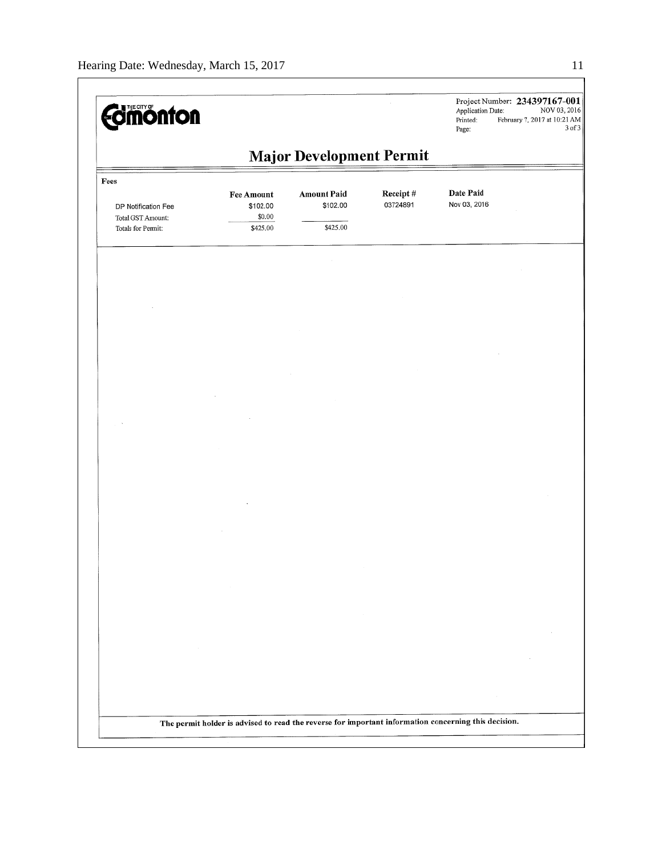| <b><i><u>Edmonton</u></i></b>            |                                                                                                      |                                 |                      | Application Date:<br>Printed:<br>Page: | Project Number: 234397167-001<br>NOV 03, 2016<br>February 7, 2017 at 10:21 AM<br>3 of 3 |
|------------------------------------------|------------------------------------------------------------------------------------------------------|---------------------------------|----------------------|----------------------------------------|-----------------------------------------------------------------------------------------|
|                                          |                                                                                                      | <b>Major Development Permit</b> |                      |                                        |                                                                                         |
| Fees                                     |                                                                                                      |                                 |                      |                                        |                                                                                         |
| DP Notification Fee<br>Total GST Amount: | <b>Fee Amount</b><br>\$102.00<br>\$0.00                                                              | <b>Amount Paid</b><br>\$102.00  | Receipt#<br>03724891 | Date Paid<br>Nov 03, 2016              |                                                                                         |
| Totals for Permit:                       | \$425.00                                                                                             | \$425.00                        |                      |                                        |                                                                                         |
|                                          |                                                                                                      |                                 |                      |                                        |                                                                                         |
|                                          |                                                                                                      |                                 |                      |                                        |                                                                                         |
|                                          |                                                                                                      |                                 |                      |                                        |                                                                                         |
|                                          |                                                                                                      |                                 |                      |                                        |                                                                                         |
|                                          |                                                                                                      |                                 |                      |                                        |                                                                                         |
|                                          |                                                                                                      |                                 |                      |                                        |                                                                                         |
|                                          |                                                                                                      |                                 |                      |                                        |                                                                                         |
|                                          |                                                                                                      |                                 |                      |                                        |                                                                                         |
|                                          |                                                                                                      |                                 |                      |                                        |                                                                                         |
|                                          |                                                                                                      |                                 |                      |                                        |                                                                                         |
|                                          |                                                                                                      |                                 |                      |                                        |                                                                                         |
|                                          |                                                                                                      |                                 |                      |                                        |                                                                                         |
|                                          |                                                                                                      |                                 |                      |                                        |                                                                                         |
|                                          |                                                                                                      |                                 |                      |                                        |                                                                                         |
|                                          |                                                                                                      |                                 |                      |                                        |                                                                                         |
|                                          |                                                                                                      |                                 |                      |                                        |                                                                                         |
|                                          |                                                                                                      |                                 |                      |                                        |                                                                                         |
|                                          |                                                                                                      |                                 |                      |                                        |                                                                                         |
|                                          |                                                                                                      |                                 |                      |                                        |                                                                                         |
|                                          |                                                                                                      |                                 |                      |                                        |                                                                                         |
|                                          | The permit holder is advised to read the reverse for important information concerning this decision. |                                 |                      |                                        |                                                                                         |